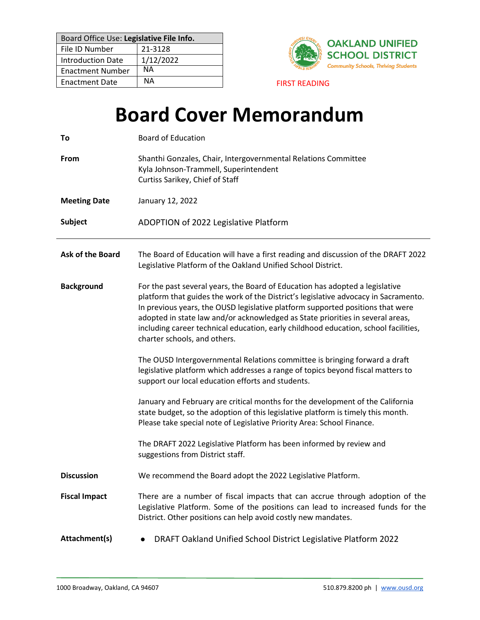| Board Office Use: Legislative File Info. |           |
|------------------------------------------|-----------|
| File ID Number                           | 21-3128   |
| <b>Introduction Date</b>                 | 1/12/2022 |
| <b>Enactment Number</b>                  | NΑ        |
| <b>Enactment Date</b>                    | NА        |



**FIRST READING** 

# **Board Cover Memorandum**

| To                      | <b>Board of Education</b>                                                                                                                                                                                                                                                                                                                                                                                                                                      |
|-------------------------|----------------------------------------------------------------------------------------------------------------------------------------------------------------------------------------------------------------------------------------------------------------------------------------------------------------------------------------------------------------------------------------------------------------------------------------------------------------|
| From                    | Shanthi Gonzales, Chair, Intergovernmental Relations Committee<br>Kyla Johnson-Trammell, Superintendent<br>Curtiss Sarikey, Chief of Staff                                                                                                                                                                                                                                                                                                                     |
| <b>Meeting Date</b>     | January 12, 2022                                                                                                                                                                                                                                                                                                                                                                                                                                               |
| <b>Subject</b>          | ADOPTION of 2022 Legislative Platform                                                                                                                                                                                                                                                                                                                                                                                                                          |
| <b>Ask of the Board</b> | The Board of Education will have a first reading and discussion of the DRAFT 2022<br>Legislative Platform of the Oakland Unified School District.                                                                                                                                                                                                                                                                                                              |
| <b>Background</b>       | For the past several years, the Board of Education has adopted a legislative<br>platform that guides the work of the District's legislative advocacy in Sacramento.<br>In previous years, the OUSD legislative platform supported positions that were<br>adopted in state law and/or acknowledged as State priorities in several areas,<br>including career technical education, early childhood education, school facilities,<br>charter schools, and others. |
|                         | The OUSD Intergovernmental Relations committee is bringing forward a draft<br>legislative platform which addresses a range of topics beyond fiscal matters to<br>support our local education efforts and students.                                                                                                                                                                                                                                             |
|                         | January and February are critical months for the development of the California<br>state budget, so the adoption of this legislative platform is timely this month.<br>Please take special note of Legislative Priority Area: School Finance.                                                                                                                                                                                                                   |
|                         | The DRAFT 2022 Legislative Platform has been informed by review and<br>suggestions from District staff.                                                                                                                                                                                                                                                                                                                                                        |
| <b>Discussion</b>       | We recommend the Board adopt the 2022 Legislative Platform.                                                                                                                                                                                                                                                                                                                                                                                                    |
| <b>Fiscal Impact</b>    | There are a number of fiscal impacts that can accrue through adoption of the<br>Legislative Platform. Some of the positions can lead to increased funds for the<br>District. Other positions can help avoid costly new mandates.                                                                                                                                                                                                                               |
| Attachment(s)           | DRAFT Oakland Unified School District Legislative Platform 2022                                                                                                                                                                                                                                                                                                                                                                                                |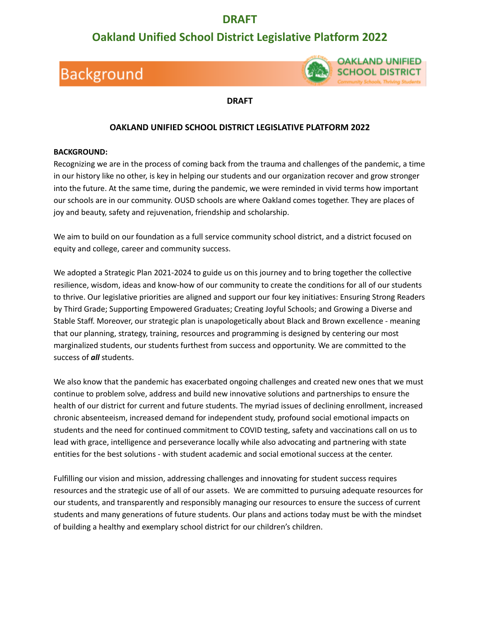### **DRAFT**

### **Oakland Unified School District Legislative Platform 2022**

## **Background**



#### **DRAFT**

#### **OAKLAND UNIFIED SCHOOL DISTRICT LEGISLATIVE PLATFORM 2022**

#### **BACKGROUND:**

Recognizing we are in the process of coming back from the trauma and challenges of the pandemic, a time in our history like no other, is key in helping our students and our organization recover and grow stronger into the future. At the same time, during the pandemic, we were reminded in vivid terms how important our schools are in our community. OUSD schools are where Oakland comes together. They are places of joy and beauty, safety and rejuvenation, friendship and scholarship.

We aim to build on our foundation as a full service community school district, and a district focused on equity and college, career and community success.

We adopted a Strategic Plan 2021-2024 to guide us on this journey and to bring together the collective resilience, wisdom, ideas and know-how of our community to create the conditions for all of our students to thrive. Our legislative priorities are aligned and support our four key initiatives: Ensuring Strong Readers by Third Grade; Supporting Empowered Graduates; Creating Joyful Schools; and Growing a Diverse and Stable Staff. Moreover, our strategic plan is unapologetically about Black and Brown excellence - meaning that our planning, strategy, training, resources and programming is designed by centering our most marginalized students, our students furthest from success and opportunity. We are committed to the success of *all* students.

We also know that the pandemic has exacerbated ongoing challenges and created new ones that we must continue to problem solve, address and build new innovative solutions and partnerships to ensure the health of our district for current and future students. The myriad issues of declining enrollment, increased chronic absenteeism, increased demand for independent study, profound social emotional impacts on students and the need for continued commitment to COVID testing, safety and vaccinations call on us to lead with grace, intelligence and perseverance locally while also advocating and partnering with state entities for the best solutions - with student academic and social emotional success at the center.

Fulfilling our vision and mission, addressing challenges and innovating for student success requires resources and the strategic use of all of our assets. We are committed to pursuing adequate resources for our students, and transparently and responsibly managing our resources to ensure the success of current students and many generations of future students. Our plans and actions today must be with the mindset of building a healthy and exemplary school district for our children's children.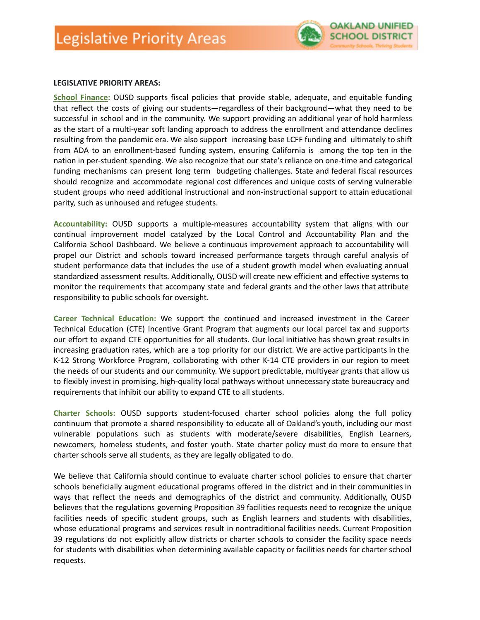

#### **LEGISLATIVE PRIORITY AREAS:**

**School Finance:** OUSD supports fiscal policies that provide stable, adequate, and equitable funding that reflect the costs of giving our students—regardless of their background—what they need to be successful in school and in the community. We support providing an additional year of hold harmless as the start of a multi-year soft landing approach to address the enrollment and attendance declines resulting from the pandemic era. We also support increasing base LCFF funding and ultimately to shift from ADA to an enrollment-based funding system, ensuring California is among the top ten in the nation in per-student spending. We also recognize that our state's reliance on one-time and categorical funding mechanisms can present long term budgeting challenges. State and federal fiscal resources should recognize and accommodate regional cost differences and unique costs of serving vulnerable student groups who need additional instructional and non-instructional support to attain educational parity, such as unhoused and refugee students.

**Accountability:** OUSD supports a multiple-measures accountability system that aligns with our continual improvement model catalyzed by the Local Control and Accountability Plan and the California School Dashboard. We believe a continuous improvement approach to accountability will propel our District and schools toward increased performance targets through careful analysis of student performance data that includes the use of a student growth model when evaluating annual standardized assessment results. Additionally, OUSD will create new efficient and effective systems to monitor the requirements that accompany state and federal grants and the other laws that attribute responsibility to public schools for oversight.

**Career Technical Education:** We support the continued and increased investment in the Career Technical Education (CTE) Incentive Grant Program that augments our local parcel tax and supports our effort to expand CTE opportunities for all students. Our local initiative has shown great results in increasing graduation rates, which are a top priority for our district. We are active participants in the K-12 Strong Workforce Program, collaborating with other K-14 CTE providers in our region to meet the needs of our students and our community. We support predictable, multiyear grants that allow us to flexibly invest in promising, high-quality local pathways without unnecessary state bureaucracy and requirements that inhibit our ability to expand CTE to all students.

**Charter Schools:** OUSD supports student-focused charter school policies along the full policy continuum that promote a shared responsibility to educate all of Oakland's youth, including our most vulnerable populations such as students with moderate/severe disabilities, English Learners, newcomers, homeless students, and foster youth. State charter policy must do more to ensure that charter schools serve all students, as they are legally obligated to do.

We believe that California should continue to evaluate charter school policies to ensure that charter schools beneficially augment educational programs offered in the district and in their communities in ways that reflect the needs and demographics of the district and community. Additionally, OUSD believes that the regulations governing Proposition 39 facilities requests need to recognize the unique facilities needs of specific student groups, such as English learners and students with disabilities, whose educational programs and services result in nontraditional facilities needs. Current Proposition 39 regulations do not explicitly allow districts or charter schools to consider the facility space needs for students with disabilities when determining available capacity or facilities needs for charter school requests.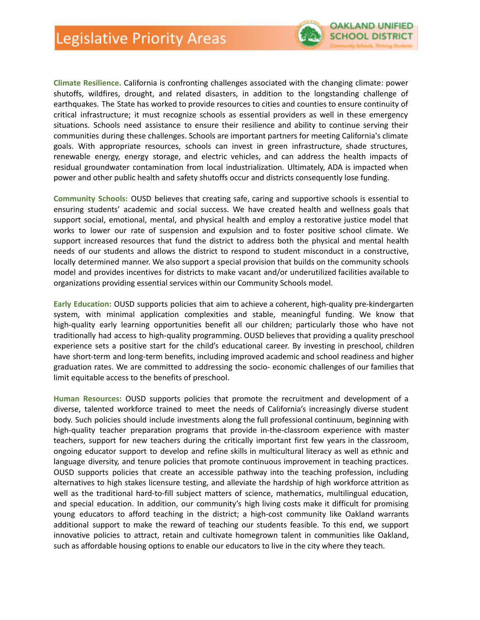

**Climate Resilience.** California is confronting challenges associated with the changing climate: power shutoffs, wildfires, drought, and related disasters, in addition to the longstanding challenge of earthquakes. The State has worked to provide resources to cities and counties to ensure continuity of critical infrastructure; it must recognize schools as essential providers as well in these emergency situations. Schools need assistance to ensure their resilience and ability to continue serving their communities during these challenges. Schools are important partners for meeting California's climate goals. With appropriate resources, schools can invest in green infrastructure, shade structures, renewable energy, energy storage, and electric vehicles, and can address the health impacts of residual groundwater contamination from local industrialization. Ultimately, ADA is impacted when power and other public health and safety shutoffs occur and districts consequently lose funding.

**Community Schools:** OUSD believes that creating safe, caring and supportive schools is essential to ensuring students' academic and social success. We have created health and wellness goals that support social, emotional, mental, and physical health and employ a restorative justice model that works to lower our rate of suspension and expulsion and to foster positive school climate. We support increased resources that fund the district to address both the physical and mental health needs of our students and allows the district to respond to student misconduct in a constructive, locally determined manner. We also support a special provision that builds on the community schools model and provides incentives for districts to make vacant and/or underutilized facilities available to organizations providing essential services within our Community Schools model.

**Early Education:** OUSD supports policies that aim to achieve a coherent, high-quality pre-kindergarten system, with minimal application complexities and stable, meaningful funding. We know that high-quality early learning opportunities benefit all our children; particularly those who have not traditionally had access to high-quality programming. OUSD believes that providing a quality preschool experience sets a positive start for the child's educational career. By investing in preschool, children have short-term and long-term benefits, including improved academic and school readiness and higher graduation rates. We are committed to addressing the socio- economic challenges of our families that limit equitable access to the benefits of preschool.

**Human Resources:** OUSD supports policies that promote the recruitment and development of a diverse, talented workforce trained to meet the needs of California's increasingly diverse student body. Such policies should include investments along the full professional continuum, beginning with high-quality teacher preparation programs that provide in-the-classroom experience with master teachers, support for new teachers during the critically important first few years in the classroom, ongoing educator support to develop and refine skills in multicultural literacy as well as ethnic and language diversity, and tenure policies that promote continuous improvement in teaching practices. OUSD supports policies that create an accessible pathway into the teaching profession, including alternatives to high stakes licensure testing, and alleviate the hardship of high workforce attrition as well as the traditional hard-to-fill subject matters of science, mathematics, multilingual education, and special education. In addition, our community's high living costs make it difficult for promising young educators to afford teaching in the district; a high-cost community like Oakland warrants additional support to make the reward of teaching our students feasible. To this end, we support innovative policies to attract, retain and cultivate homegrown talent in communities like Oakland, such as affordable housing options to enable our educators to live in the city where they teach.